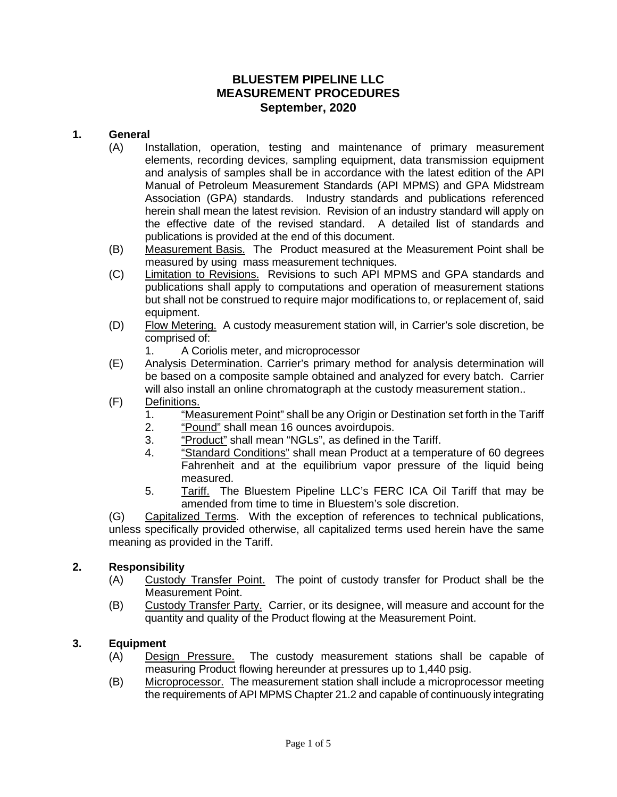## **BLUESTEM PIPELINE LLC MEASUREMENT PROCEDURES September, 2020**

### **1. General**

- (A) Installation, operation, testing and maintenance of primary measurement elements, recording devices, sampling equipment, data transmission equipment and analysis of samples shall be in accordance with the latest edition of the API Manual of Petroleum Measurement Standards (API MPMS) and GPA Midstream Association (GPA) standards. Industry standards and publications referenced herein shall mean the latest revision. Revision of an industry standard will apply on the effective date of the revised standard. A detailed list of standards and publications is provided at the end of this document.
- (B) Measurement Basis. The Product measured at the Measurement Point shall be measured by using mass measurement techniques.
- (C) Limitation to Revisions. Revisions to such API MPMS and GPA standards and publications shall apply to computations and operation of measurement stations but shall not be construed to require major modifications to, or replacement of, said equipment.
- (D) Flow Metering. A custody measurement station will, in Carrier's sole discretion, be comprised of:
	- 1. A Coriolis meter, and microprocessor
- (E) Analysis Determination. Carrier's primary method for analysis determination will be based on a composite sample obtained and analyzed for every batch. Carrier will also install an online chromatograph at the custody measurement station..
- (F) Definitions.<br>1. "Me
	- 1. "<u>Measurement Point"</u> shall be any Origin or Destination set forth in the Tariff<br>2. "Pound" shall mean 16 ounces avoirdupois.
	- "Pound" shall mean 16 ounces avoirdupois.
	- 3. "Product" shall mean "NGLs", as defined in the Tariff.
	- 4. "Standard Conditions" shall mean Product at a temperature of 60 degrees Fahrenheit and at the equilibrium vapor pressure of the liquid being measured.
	- 5. Tariff. The Bluestem Pipeline LLC's FERC ICA Oil Tariff that may be amended from time to time in Bluestem's sole discretion.

(G) Capitalized Terms. With the exception of references to technical publications, unless specifically provided otherwise, all capitalized terms used herein have the same meaning as provided in the Tariff.

### **2. Responsibility**

- (A) Custody Transfer Point. The point of custody transfer for Product shall be the Measurement Point.
- (B) Custody Transfer Party. Carrier, or its designee, will measure and account for the quantity and quality of the Product flowing at the Measurement Point.

### **3. Equipment**

- (A) Design Pressure. The custody measurement stations shall be capable of measuring Product flowing hereunder at pressures up to 1,440 psig.
- (B) Microprocessor. The measurement station shall include a microprocessor meeting the requirements of API MPMS Chapter 21.2 and capable of continuously integrating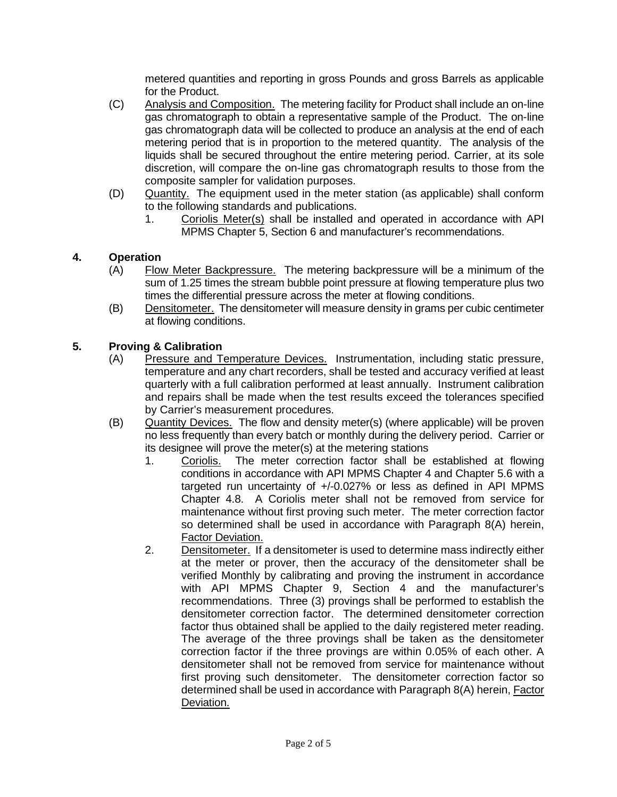metered quantities and reporting in gross Pounds and gross Barrels as applicable for the Product.

- (C) Analysis and Composition. The metering facility for Product shall include an on-line gas chromatograph to obtain a representative sample of the Product. The on-line gas chromatograph data will be collected to produce an analysis at the end of each metering period that is in proportion to the metered quantity. The analysis of the liquids shall be secured throughout the entire metering period. Carrier, at its sole discretion, will compare the on-line gas chromatograph results to those from the composite sampler for validation purposes.
- (D) Quantity. The equipment used in the meter station (as applicable) shall conform to the following standards and publications.
	- 1. Coriolis Meter(s) shall be installed and operated in accordance with API MPMS Chapter 5, Section 6 and manufacturer's recommendations.

## **4. Operation**

- (A) Flow Meter Backpressure. The metering backpressure will be a minimum of the sum of 1.25 times the stream bubble point pressure at flowing temperature plus two times the differential pressure across the meter at flowing conditions.
- (B) Densitometer. The densitometer will measure density in grams per cubic centimeter at flowing conditions.

# **5. Proving & Calibration**

- (A) Pressure and Temperature Devices. Instrumentation, including static pressure, temperature and any chart recorders, shall be tested and accuracy verified at least quarterly with a full calibration performed at least annually. Instrument calibration and repairs shall be made when the test results exceed the tolerances specified by Carrier's measurement procedures.
- (B) Quantity Devices. The flow and density meter(s) (where applicable) will be proven no less frequently than every batch or monthly during the delivery period. Carrier or its designee will prove the meter(s) at the metering stations
	- 1. Coriolis. The meter correction factor shall be established at flowing conditions in accordance with API MPMS Chapter 4 and Chapter 5.6 with a targeted run uncertainty of +/-0.027% or less as defined in API MPMS Chapter 4.8. A Coriolis meter shall not be removed from service for maintenance without first proving such meter. The meter correction factor so determined shall be used in accordance with Paragraph [8\(A\)](#page-3-0) herein, [Factor Deviation.](#page-3-0)
	- 2. Densitometer. If a densitometer is used to determine mass indirectly either at the meter or prover, then the accuracy of the densitometer shall be verified Monthly by calibrating and proving the instrument in accordance with API MPMS Chapter 9, Section 4 and the manufacturer's recommendations. Three (3) provings shall be performed to establish the densitometer correction factor. The determined densitometer correction factor thus obtained shall be applied to the daily registered meter reading. The average of the three provings shall be taken as the densitometer correction factor if the three provings are within 0.05% of each other. A densitometer shall not be removed from service for maintenance without first proving such densitometer. The densitometer correction factor so determined shall be used in accordance with Paragraph [8\(A\)](#page-3-0) herein, [Factor](#page-3-0)  [Deviation.](#page-3-0)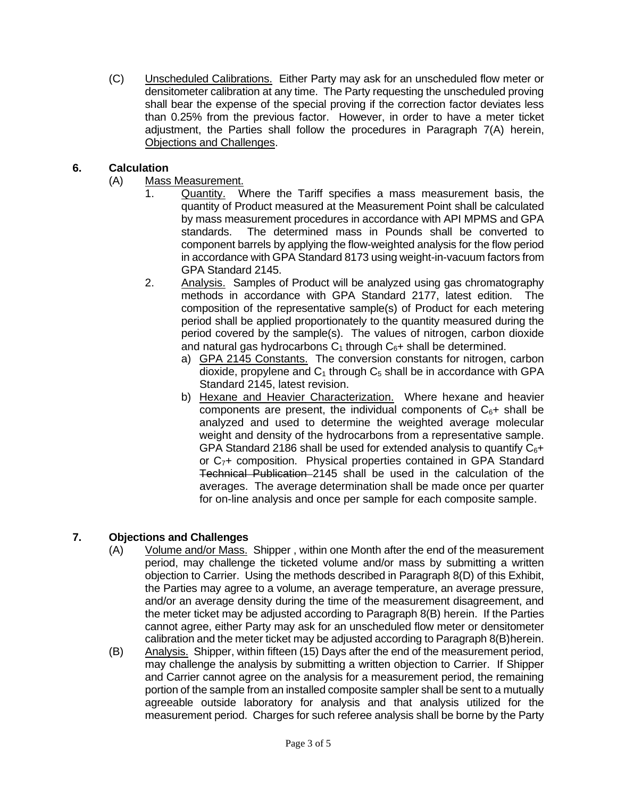(C) Unscheduled Calibrations. Either Party may ask for an unscheduled flow meter or densitometer calibration at any time. The Party requesting the unscheduled proving shall bear the expense of the special proving if the correction factor deviates less than 0.25% from the previous factor. However, in order to have a meter ticket adjustment, the Parties shall follow the procedures in Paragraph [7\(A\)](#page-2-0) herein, [Objections and Challenges.](#page-2-1)

## **6. Calculation**

- (A) Mass Measurement.
	- 1. Quantity. Where the Tariff specifies a mass measurement basis, the quantity of Product measured at the Measurement Point shall be calculated by mass measurement procedures in accordance with API MPMS and GPA standards. The determined mass in Pounds shall be converted to component barrels by applying the flow-weighted analysis for the flow period in accordance with GPA Standard 8173 using weight-in-vacuum factors from GPA Standard 2145.
	- 2. Analysis. Samples of Product will be analyzed using gas chromatography methods in accordance with GPA Standard 2177, latest edition. The composition of the representative sample(s) of Product for each metering period shall be applied proportionately to the quantity measured during the period covered by the sample(s). The values of nitrogen, carbon dioxide and natural gas hydrocarbons  $C_1$  through  $C_6$ + shall be determined.
		- a) GPA 2145 Constants. The conversion constants for nitrogen, carbon dioxide, propylene and  $C_1$  through  $C_5$  shall be in accordance with GPA Standard 2145, latest revision.
		- b) Hexane and Heavier Characterization. Where hexane and heavier components are present, the individual components of  $C_{6}$ + shall be analyzed and used to determine the weighted average molecular weight and density of the hydrocarbons from a representative sample. GPA Standard 2186 shall be used for extended analysis to quantify  $C_6$ + or C<sub>7</sub>+ composition. Physical properties contained in GPA Standard Technical Publication 2145 shall be used in the calculation of the averages. The average determination shall be made once per quarter for on-line analysis and once per sample for each composite sample.

## <span id="page-2-1"></span><span id="page-2-0"></span>**7. Objections and Challenges**

- (A) Volume and/or Mass. Shipper , within one Month after the end of the measurement period, may challenge the ticketed volume and/or mass by submitting a written objection to Carrier. Using the methods described in Paragraph [8\(D\)](#page-3-1) of this Exhibit, the Parties may agree to a volume, an average temperature, an average pressure, and/or an average density during the time of the measurement disagreement, and the meter ticket may be adjusted according to Paragraph [8\(B\)](#page-3-2) herein. If the Parties cannot agree, either Party may ask for an unscheduled flow meter or densitometer calibration and the meter ticket may be adjusted according to Paragraph [8\(B\)h](#page-3-2)erein.
- (B) Analysis. Shipper, within fifteen (15) Days after the end of the measurement period, may challenge the analysis by submitting a written objection to Carrier. If Shipper and Carrier cannot agree on the analysis for a measurement period, the remaining portion of the sample from an installed composite sampler shall be sent to a mutually agreeable outside laboratory for analysis and that analysis utilized for the measurement period. Charges for such referee analysis shall be borne by the Party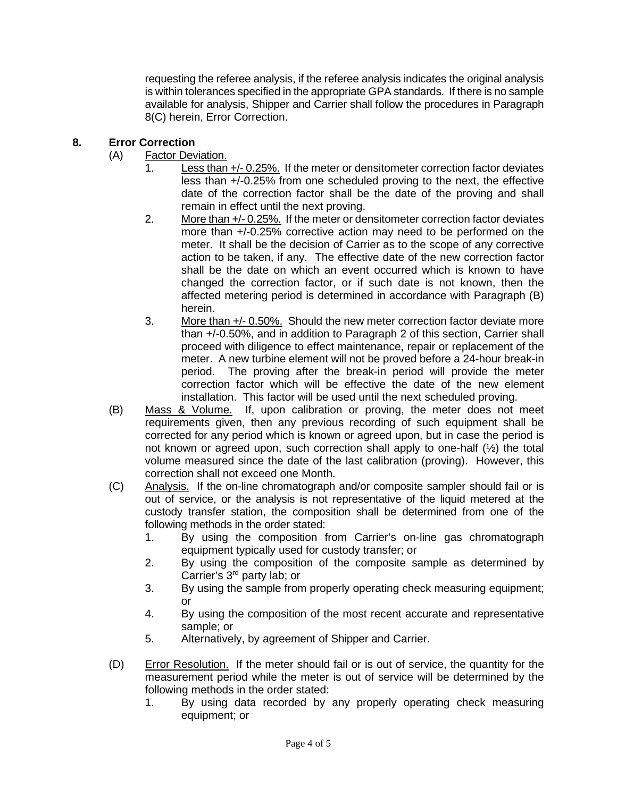requesting the referee analysis, if the referee analysis indicates the original analysis is within tolerances specified in the appropriate GPA standards. If there is no sample available for analysis, Shipper and Carrier shall follow the procedures in Paragraph [8\(C\)](#page-3-3) herein, [Error Correction.](#page-3-4)

### <span id="page-3-4"></span><span id="page-3-0"></span>**8. Error Correction**

- <span id="page-3-5"></span>(A) Factor Deviation.
	- 1. Less than +/- 0.25%. If the meter or densitometer correction factor deviates less than +/-0.25% from one scheduled proving to the next, the effective date of the correction factor shall be the date of the proving and shall remain in effect until the next proving.
	- 2. More than  $+/- 0.25\%$ . If the meter or densitometer correction factor deviates more than +/-0.25% corrective action may need to be performed on the meter. It shall be the decision of Carrier as to the scope of any corrective action to be taken, if any. The effective date of the new correction factor shall be the date on which an event occurred which is known to have changed the correction factor, or if such date is not known, then the affected metering period is determined in accordance with Paragraph [\(B\)](#page-3-2) herein.
	- 3. More than +/- 0.50%. Should the new meter correction factor deviate more than +/-0.50%, and in addition to Paragraph [2](#page-3-5) of this section, Carrier shall proceed with diligence to effect maintenance, repair or replacement of the meter. A new turbine element will not be proved before a 24-hour break-in period. The proving after the break-in period will provide the meter correction factor which will be effective the date of the new element installation. This factor will be used until the next scheduled proving.
- <span id="page-3-2"></span>(B) Mass & Volume. If, upon calibration or proving, the meter does not meet requirements given, then any previous recording of such equipment shall be corrected for any period which is known or agreed upon, but in case the period is not known or agreed upon, such correction shall apply to one-half (½) the total volume measured since the date of the last calibration (proving). However, this correction shall not exceed one Month.
- <span id="page-3-3"></span>(C) Analysis. If the on-line chromatograph and/or composite sampler should fail or is out of service, or the analysis is not representative of the liquid metered at the custody transfer station, the composition shall be determined from one of the following methods in the order stated:
	- 1. By using the composition from Carrier's on-line gas chromatograph equipment typically used for custody transfer; or
	- 2. By using the composition of the composite sample as determined by Carrier's 3rd party lab; or
	- 3. By using the sample from properly operating check measuring equipment; or
	- 4. By using the composition of the most recent accurate and representative sample; or
	- 5. Alternatively, by agreement of Shipper and Carrier.
- <span id="page-3-1"></span>(D) Error Resolution. If the meter should fail or is out of service, the quantity for the measurement period while the meter is out of service will be determined by the following methods in the order stated:
	- 1. By using data recorded by any properly operating check measuring equipment; or